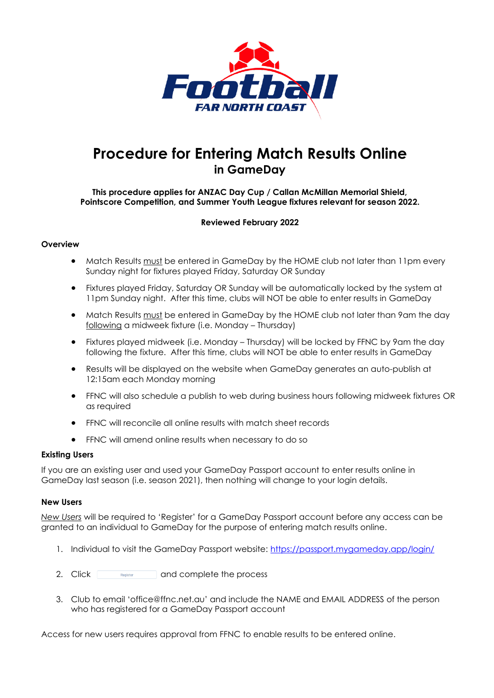

# **Procedure for Entering Match Results Online in GameDay**

### **This procedure applies for ANZAC Day Cup / Callan McMillan Memorial Shield, Pointscore Competition, and Summer Youth League fixtures relevant for season 2022.**

### **Reviewed February 2022**

#### **Overview**

- Match Results must be entered in GameDay by the HOME club not later than 11pm every Sunday night for fixtures played Friday, Saturday OR Sunday
- Fixtures played Friday, Saturday OR Sunday will be automatically locked by the system at 11pm Sunday night. After this time, clubs will NOT be able to enter results in GameDay
- Match Results must be entered in GameDay by the HOME club not later than 9am the day following a midweek fixture (i.e. Monday – Thursday)
- Fixtures played midweek (i.e. Monday Thursday) will be locked by FFNC by 9am the day following the fixture. After this time, clubs will NOT be able to enter results in GameDay
- Results will be displayed on the website when GameDay generates an auto-publish at 12:15am each Monday morning
- FFNC will also schedule a publish to web during business hours following midweek fixtures OR as required
- FFNC will reconcile all online results with match sheet records
- FFNC will amend online results when necessary to do so

#### **Existing Users**

If you are an existing user and used your GameDay Passport account to enter results online in GameDay last season (i.e. season 2021), then nothing will change to your login details.

#### **New Users**

*New Users* will be required to 'Register' for a GameDay Passport account before any access can be granted to an individual to GameDay for the purpose of entering match results online.

- 1. Individual to visit the GameDay Passport website:<https://passport.mygameday.app/login/>
- 2. Click **and complete the process**
- 3. Club to email 'office@ffnc.net.au' and include the NAME and EMAIL ADDRESS of the person who has registered for a GameDay Passport account

Access for new users requires approval from FFNC to enable results to be entered online.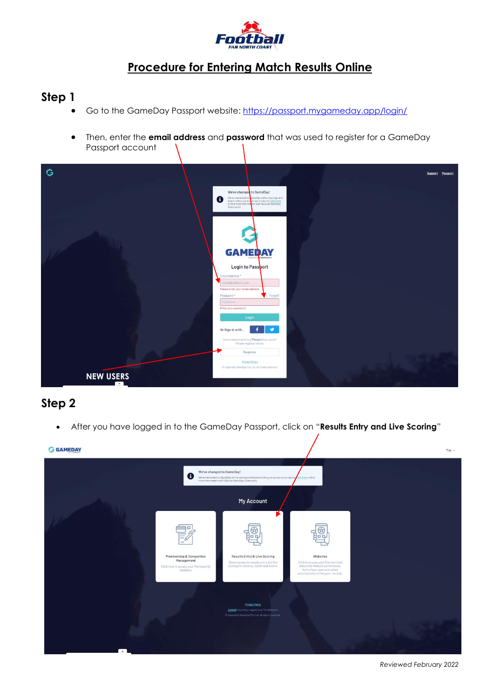

## **Step 1**

- Go to the GameDay Passport website:<https://passport.mygameday.app/login/>
- Then, enter the **email address** and **password** that was used to register for a GameDay Passport account



### **Step 2**

• After you have logged in to the GameDay Passport, click on "**Results Entry and Live Scoring**"



*Reviewed February 2022*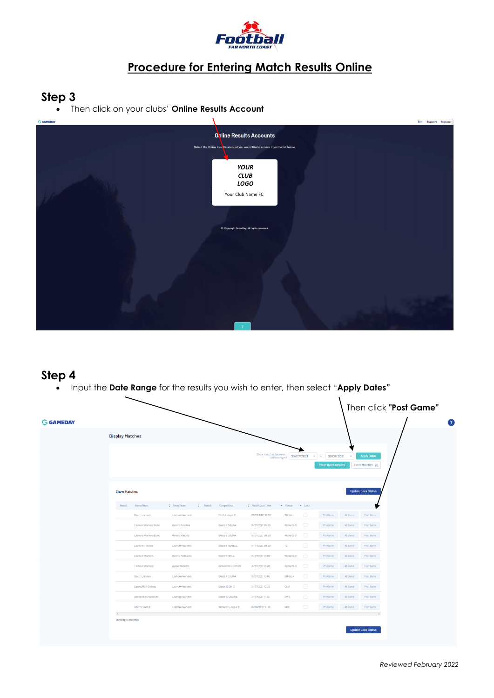

# **Step 3**

• Then click on your clubs' **Online Results Account**



### **Step 4**

• Input the **Date Range** for the results you wish to enter, then select "**Apply Dates"**

| <b>G GAMEDAY</b> |                                               |                         |                                         |                     |                       |                                  |                                                        |                                        | Then click "Post Game" | o |
|------------------|-----------------------------------------------|-------------------------|-----------------------------------------|---------------------|-----------------------|----------------------------------|--------------------------------------------------------|----------------------------------------|------------------------|---|
|                  | <b>Display Matches</b>                        |                         |                                         |                     |                       |                                  |                                                        |                                        |                        |   |
|                  |                                               |                         |                                         |                     | Show matches between: | (dd/mm/yyyy) 30/07/2021          | $\bullet$ To: 01/08/2021<br><b>Enter Quick Results</b> | <b>Apply Dates</b><br>Filter Matches # |                        |   |
|                  | <b>Show Matches</b>                           |                         |                                         |                     |                       |                                  |                                                        | <b>Update Lock Status</b>              |                        |   |
|                  | Result                                        | Home Team               | C Away Team<br>$\Leftrightarrow$ Result | Competition         | ♦ Match Date Time     | $\sim$ Venue<br>$\triangle$ Lock |                                                        |                                        |                        |   |
|                  |                                               | South Lismore           | Lismore Workers                         | Men's League 6      | 30/07/2021 18:00      | $\Box$<br>Sth Lis                | Pre Game                                               | At Game<br>Post Game                   |                        |   |
|                  |                                               | Lismore Workers Cubs    | Rovers Rosellas                         | Grade 6 CULINA      | 31/07/2021 09:00      | $\Box$<br>Richards 3             | Pre Game                                               | At Game<br>Post Game                   |                        |   |
|                  |                                               | Lismore Workers Lions   | Rovers Rabbits                          | Grade 6 CULINA      | 31/07/2021 09:00      | $\Box$<br>Richards 3             | Pre Game                                               | At Game<br>Post Game                   |                        |   |
|                  |                                               | <b>Lismore Thistles</b> | Lismore Workers                         | Grade 8 KEWELL      | 31/07/2021 09:00      | $\Box$<br>T2                     | Pre Game                                               | At Game<br>Post Game                   |                        |   |
|                  |                                               | Lismore Workers         | Rovers Redbacks                         | Grade 9 NEILL       | 31/07/2021 10:00      | $\Box$<br>Richards 2             | Pre Game                                               | At Game<br>Post Game                   |                        |   |
|                  |                                               | Lismore Workers         | <b>Byron Wildcats</b>                   | Girls Grade 6 SIMON | 31/07/2021 10:00      | $\Box$<br>Richards 3             | Pre Game                                               | At Game<br>Post Game                   |                        |   |
|                  |                                               | South Lismore           | Lismore Workers                         | Grade 7 CULINA      | 31/07/2021 10:00      | $\Box$<br>Sth Lis 4              | Pre Game                                               | At Game<br>Post Game                   |                        |   |
|                  |                                               | Casino RSM Cobras       | Lismore Workers                         | Grade 12 Div. 3     | 31/07/2021 10:20      | $\Box$<br>Cast                   | Pre Game                                               | At Game<br>Post Game                   |                        |   |
|                  |                                               | Alstonville Crocodiles  | Lismore Workers                         | Grade 10 CULINA     | 31/07/2021 11:20      | $\Box$<br>GW2                    | Pre Game                                               | At Game<br>Post Game                   |                        |   |
|                  |                                               | Shores United           | Lismore Workers                         | Women's League 2    | 01/08/2021 12:30      | $\Box$<br><b>NOS</b>             | Pre Game                                               | At Game<br>Post Game                   |                        |   |
|                  | $\langle \cdot \rangle$<br>Showing 10 matches |                         |                                         |                     |                       |                                  |                                                        |                                        |                        |   |
|                  |                                               |                         |                                         |                     |                       |                                  |                                                        | <b>Update Lock Status</b>              |                        |   |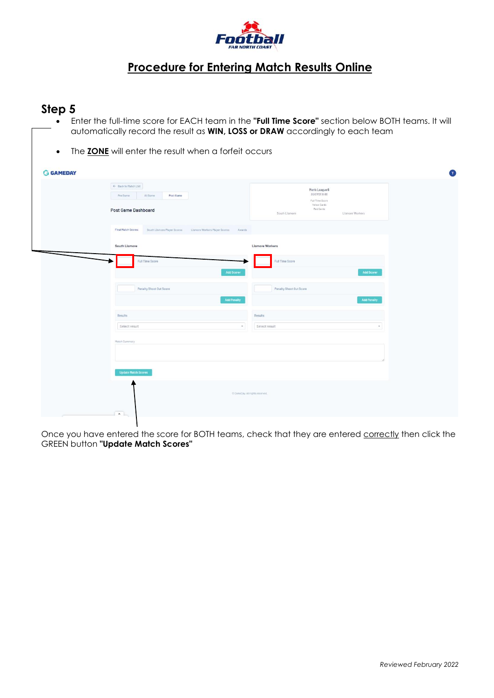

### **Step 5**

- Enter the full-time score for EACH team in the **"Full Time Score"** section below BOTH teams. It will automatically record the result as **WIN, LOSS or DRAW** accordingly to each team
- The **ZONE** will enter the result when a forfeit occurs

| <b>G GAMEDAY</b> |                                                                                           | $\bigcirc$                                                                                                          |  |  |  |  |
|------------------|-------------------------------------------------------------------------------------------|---------------------------------------------------------------------------------------------------------------------|--|--|--|--|
|                  | ← Back to Match List<br>At Game<br>Post Game<br>Pre Game<br><b>Post Game Dashboard</b>    | Men's League 6<br>30/07/2118:00<br>Full Time Score<br>Yellow Cards<br>Red Cards<br>South Lismore<br>Lismore Workers |  |  |  |  |
|                  | Final Match Scores<br>South Lismore Player Scores Lismore Workers Player Scores<br>Awards |                                                                                                                     |  |  |  |  |
|                  | South Lismore<br><b>Full Time Score</b><br><b>Add Scorer</b>                              | <b>Lismore Workers</b><br><b>Full Time Score</b><br><b>Add Scorer</b>                                               |  |  |  |  |
|                  | Penalty Shoot Out Score<br><b>Add Penalty</b>                                             | Penalty Shoot Out Score<br><b>Add Penalty</b>                                                                       |  |  |  |  |
|                  | Results<br>Select result<br>$\mathcal{F}$ .                                               | Results<br>Select result<br>$\tau$                                                                                  |  |  |  |  |
|                  | Match Summary<br><b>Update Match Scores</b>                                               |                                                                                                                     |  |  |  |  |
|                  | C GameDay, All rights reserved.<br>$\left  \cdot \right $                                 |                                                                                                                     |  |  |  |  |

Once you have entered the score for BOTH teams, check that they are entered correctly then click the GREEN button **"Update Match Scores"**